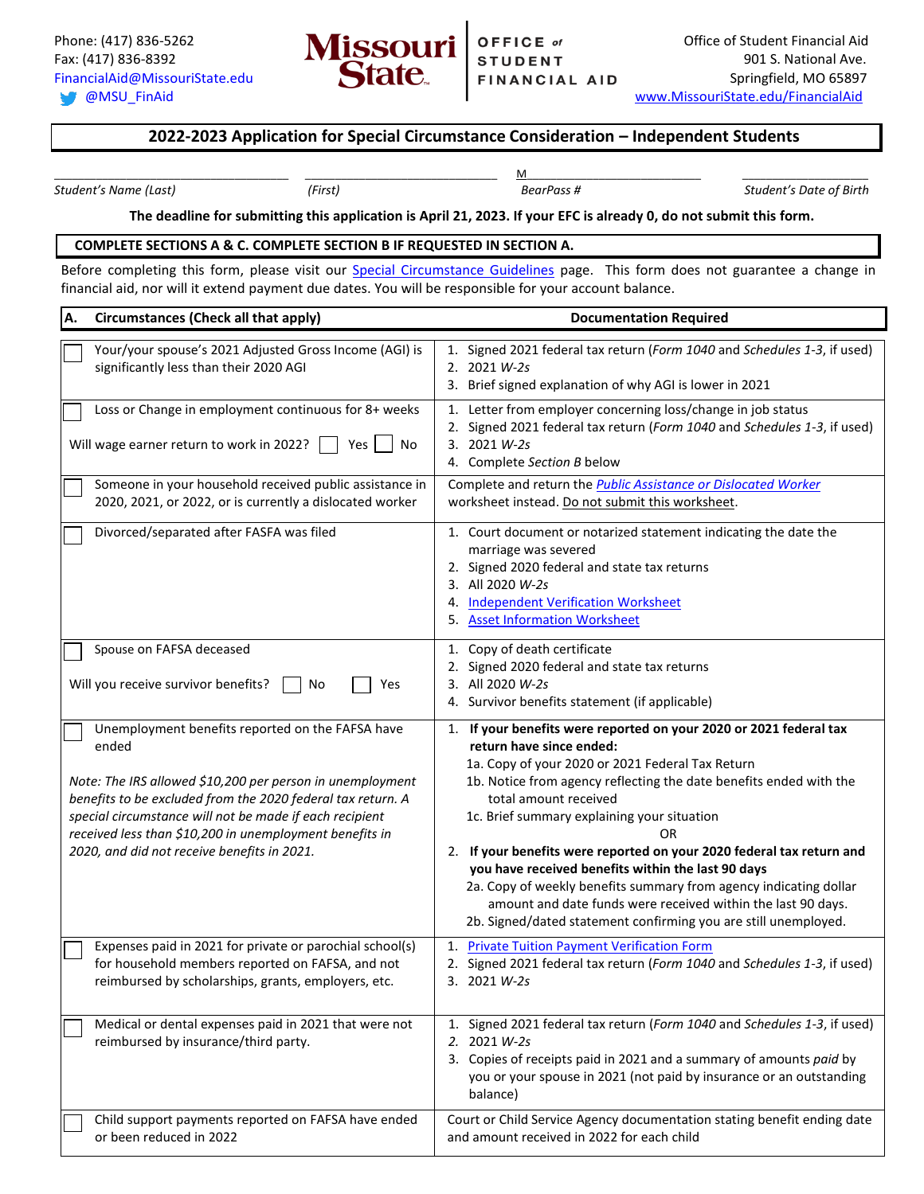

## **2022-2023 Application for Special Circumstance Consideration – Independent Students**

*Student's Name (Last) (First) BearPass # Student's Date of Birth*

\_\_\_\_\_\_\_\_\_\_\_\_\_\_\_\_\_\_\_\_\_\_\_\_\_\_\_\_\_\_\_\_\_\_\_\_\_\_\_ \_\_\_\_\_\_\_\_\_\_\_\_\_\_\_\_\_\_\_\_\_\_\_\_\_\_\_\_\_\_\_\_ M\_\_\_\_\_\_\_\_\_\_\_\_\_\_\_\_\_\_\_\_\_\_\_\_\_\_\_\_\_ \_\_\_\_\_\_\_\_\_\_\_\_\_\_\_\_\_\_\_\_\_

## **The deadline for submitting this application is April 21, 2023. If your EFC is already 0, do not submit this form.**

## **COMPLETE SECTIONS A & C. COMPLETE SECTION B IF REQUESTED IN SECTION A.**

Before completing this form, please visit our **Special Circumstance Guidelines** page. This form does not guarantee a change in financial aid, nor will it extend payment due dates. You will be responsible for your account balance.

| <b>Circumstances (Check all that apply)</b><br>A.                                                                                                                                                                                                                                                                                                          | <b>Documentation Required</b>                                                                                                                                                                                                                                                                                                                                                                                                                                                                                                                                                                                                                 |
|------------------------------------------------------------------------------------------------------------------------------------------------------------------------------------------------------------------------------------------------------------------------------------------------------------------------------------------------------------|-----------------------------------------------------------------------------------------------------------------------------------------------------------------------------------------------------------------------------------------------------------------------------------------------------------------------------------------------------------------------------------------------------------------------------------------------------------------------------------------------------------------------------------------------------------------------------------------------------------------------------------------------|
| Your/your spouse's 2021 Adjusted Gross Income (AGI) is<br>significantly less than their 2020 AGI                                                                                                                                                                                                                                                           | 1. Signed 2021 federal tax return (Form 1040 and Schedules 1-3, if used)<br>2. 2021 W-2s<br>3. Brief signed explanation of why AGI is lower in 2021                                                                                                                                                                                                                                                                                                                                                                                                                                                                                           |
| Loss or Change in employment continuous for 8+ weeks<br>Will wage earner return to work in 2022?<br>Yes<br>No                                                                                                                                                                                                                                              | 1. Letter from employer concerning loss/change in job status<br>2. Signed 2021 federal tax return (Form 1040 and Schedules 1-3, if used)<br>3. 2021 W-2s<br>4. Complete Section B below                                                                                                                                                                                                                                                                                                                                                                                                                                                       |
| Someone in your household received public assistance in<br>2020, 2021, or 2022, or is currently a dislocated worker                                                                                                                                                                                                                                        | Complete and return the <b>Public Assistance or Dislocated Worker</b><br>worksheet instead. Do not submit this worksheet.                                                                                                                                                                                                                                                                                                                                                                                                                                                                                                                     |
| Divorced/separated after FASFA was filed                                                                                                                                                                                                                                                                                                                   | 1. Court document or notarized statement indicating the date the<br>marriage was severed<br>2. Signed 2020 federal and state tax returns<br>3. All 2020 W-2s<br>4. Independent Verification Worksheet<br>5. Asset Information Worksheet                                                                                                                                                                                                                                                                                                                                                                                                       |
| Spouse on FAFSA deceased<br>Will you receive survivor benefits?<br>No<br>Yes                                                                                                                                                                                                                                                                               | 1. Copy of death certificate<br>2. Signed 2020 federal and state tax returns<br>3. All 2020 W-2s<br>4. Survivor benefits statement (if applicable)                                                                                                                                                                                                                                                                                                                                                                                                                                                                                            |
| Unemployment benefits reported on the FAFSA have<br>ended<br>Note: The IRS allowed \$10,200 per person in unemployment<br>benefits to be excluded from the 2020 federal tax return. A<br>special circumstance will not be made if each recipient<br>received less than \$10,200 in unemployment benefits in<br>2020, and did not receive benefits in 2021. | 1. If your benefits were reported on your 2020 or 2021 federal tax<br>return have since ended:<br>1a. Copy of your 2020 or 2021 Federal Tax Return<br>1b. Notice from agency reflecting the date benefits ended with the<br>total amount received<br>1c. Brief summary explaining your situation<br>0R<br>2. If your benefits were reported on your 2020 federal tax return and<br>you have received benefits within the last 90 days<br>2a. Copy of weekly benefits summary from agency indicating dollar<br>amount and date funds were received within the last 90 days.<br>2b. Signed/dated statement confirming you are still unemployed. |
| Expenses paid in 2021 for private or parochial school(s)<br>for household members reported on FAFSA, and not<br>reimbursed by scholarships, grants, employers, etc.                                                                                                                                                                                        | 1. Private Tuition Payment Verification Form<br>2. Signed 2021 federal tax return (Form 1040 and Schedules 1-3, if used)<br>3.<br>2021 W-2s                                                                                                                                                                                                                                                                                                                                                                                                                                                                                                   |
| Medical or dental expenses paid in 2021 that were not<br>reimbursed by insurance/third party.                                                                                                                                                                                                                                                              | 1. Signed 2021 federal tax return (Form 1040 and Schedules 1-3, if used)<br>2. 2021 W-2s<br>3. Copies of receipts paid in 2021 and a summary of amounts paid by<br>you or your spouse in 2021 (not paid by insurance or an outstanding<br>balance)                                                                                                                                                                                                                                                                                                                                                                                            |
| Child support payments reported on FAFSA have ended<br>or been reduced in 2022                                                                                                                                                                                                                                                                             | Court or Child Service Agency documentation stating benefit ending date<br>and amount received in 2022 for each child                                                                                                                                                                                                                                                                                                                                                                                                                                                                                                                         |